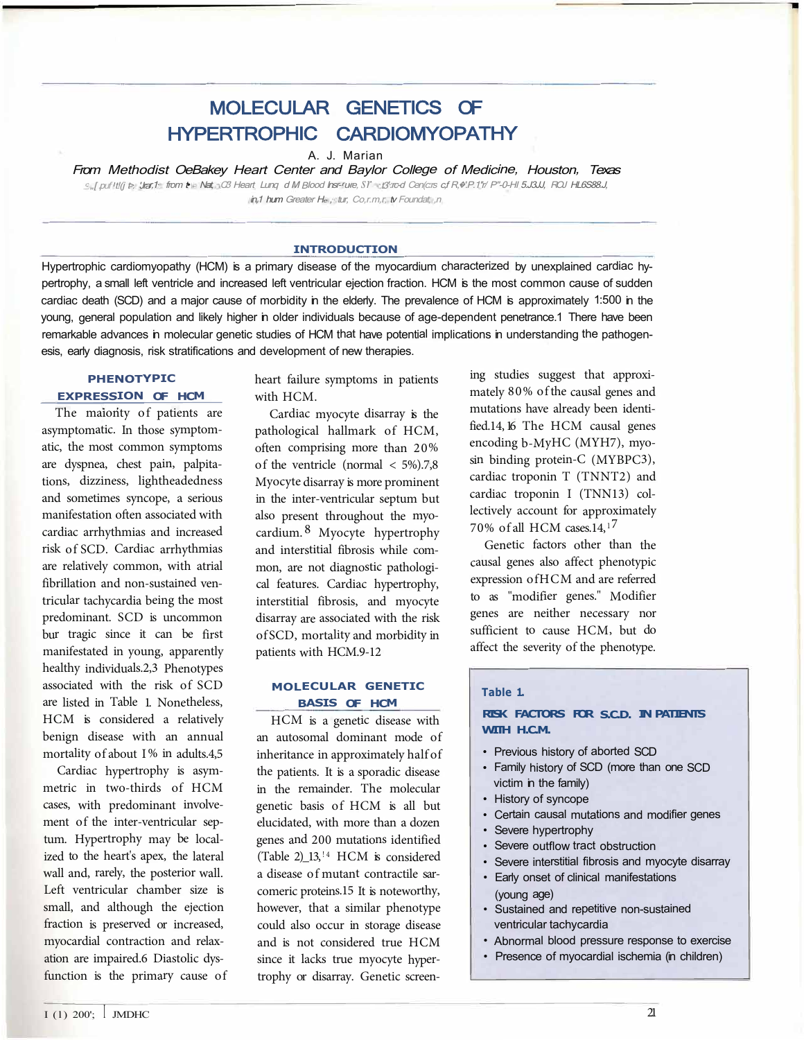# MOLECULAR GENETICS OF HYPERTROPHIC CARDIOMYOPATHY

A. J. Marian

From Methodist OeBakey Heart Center and Baylor College of Medicine, Houston, Texas

\_c; ,,[ .puf l t!(j t>. 'Jrar,1· from t• Nat, C/3' Heart Lunq dM Blood lnsr-<sup>r</sup>ure, *sr* t3'·:rc-d Cen(c:rs c,f R,�'.P.1''r/ P"-0-Hl 5.J3JJ, ROJ HL6S88.J, in,1 hum Greater  $H_e$ , tur, Co,r.m,r, tv Foundat, ,n

#### **INTRODUCTION**

Hypertrophic cardiomyopathy (HCM) is a primary disease of the myocardium characterized by unexplained cardiac hypertrophy, a small left ventricle and increased left ventricular ejection fraction. HCM is the most common cause of sudden cardiac death (SCD) and a major cause of morbidity in the elderly. The prevalence of HCM is approximately 1:500 in the young, general population and likely higher in older individuals because of age-dependent penetrance.1 There have been remarkable advances in molecular genetic studies of HCM that have potential implications in understanding the pathogenesis, early diagnosis, risk stratifications and development of new therapies.

## **PHENOTYPIC EXPRESSION OF HCM**

The maionty of patients are asymptomatic. In those symptomatic, the most common symptoms are dyspnea, chest pain, palpitations, dizziness, lightheadedness and sometimes syncope, a serious manifestation often associated with cardiac arrhythmias and increased risk of SCD. Cardiac arrhythmias are relatively common, with atrial fibrillation and non-sustained ventricular tachycardia being the most predominant. SCD is uncommon bur tragic since it can be first manifestated in young, apparently healthy individuals.2,3 Phenotypes associated with the risk of SCD are listed in Table 1. Nonetheless, HCM is considered a relatively benign disease with an annual mortality of about I% in adults.4,5

Cardiac hypertrophy is asymmetric in two-thirds of HCM cases, with predominant involvement of the inter-ventricular septum. Hypertrophy may be localized to the heart's apex, the lateral wall and, rarely, the posterior wall. Left ventricular chamber size is small, and although the ejection fraction is preserved or increased, myocardial contraction and relaxation are impaired.6 Diastolic dysfunction is the primary cause of heart failure symptoms in patients with HCM.

Cardiac myocyte disarray is the pathological hallmark of HCM, often comprising more than 20% of the ventricle (normal  $< 5\%$ ).7,8 Myocyte disarray is more prominent in the inter-ventricular septum but also present throughout the myocardium. 8 Myocyte hypertrophy and interstitial fibrosis while common, are not diagnostic pathological features. Cardiac hypertrophy, interstitial fibrosis, and myocyte disarray are associated with the risk of SCD, mortality and morbidity in patients with HCM.9-12

# **MOLECULAR GENETIC BASIS OF HCM**

HCM is a genetic disease with an autosomal dominant mode of inheritance in approximately half of the patients. It is a sporadic disease in the remainder. The molecular genetic basis of HCM is all but elucidated, with more than a dozen genes and 200 mutations identified (Table  $2$ )\_13,<sup>14</sup> HCM is considered a disease of mutant contractile sarcomeric proteins.15 It is noteworthy, however, that a similar phenotype could also occur in storage disease and is not considered true HCM since it lacks true myocyte hypertrophy or disarray. Genetic screening studies suggest that approximately 80% of the causal genes and mutations have already been identified.14, 16 The HCM causal genes encoding b-MyHC (MYH7), myosin binding protein-C (MYBPC3), cardiac troponin T (TNNT2) and cardiac troponin I (TNN13) collectively account for approximately 70% of all HCM cases.14,  $17$ 

Genetic factors other than the causal genes also affect phenotypic expression ofHCM and are referred to as "modifier genes." Modifier genes are neither necessary nor sufficient to cause HCM, but do affect the severity of the phenotype.

#### **Table 1.**

## **RISK FACTORS FOR S.C.D. IN PATIENTS WITH H.C.M.**

- Previous history of aborted SCD
- Family history of SCD (more than one SCD victim in the family)
- History of syncope
- Certain causal mutations and modifier genes
- Severe hypertrophy
- Severe outflow tract obstruction
- Severe interstitial fibrosis and myocyte disarray
- Early onset of clinical manifestations (young age)
- Sustained and repetitive non-sustained ventricular tachycardia
- Abnormal blood pressure response to exercise
- Presence of myocardial ischemia (in children)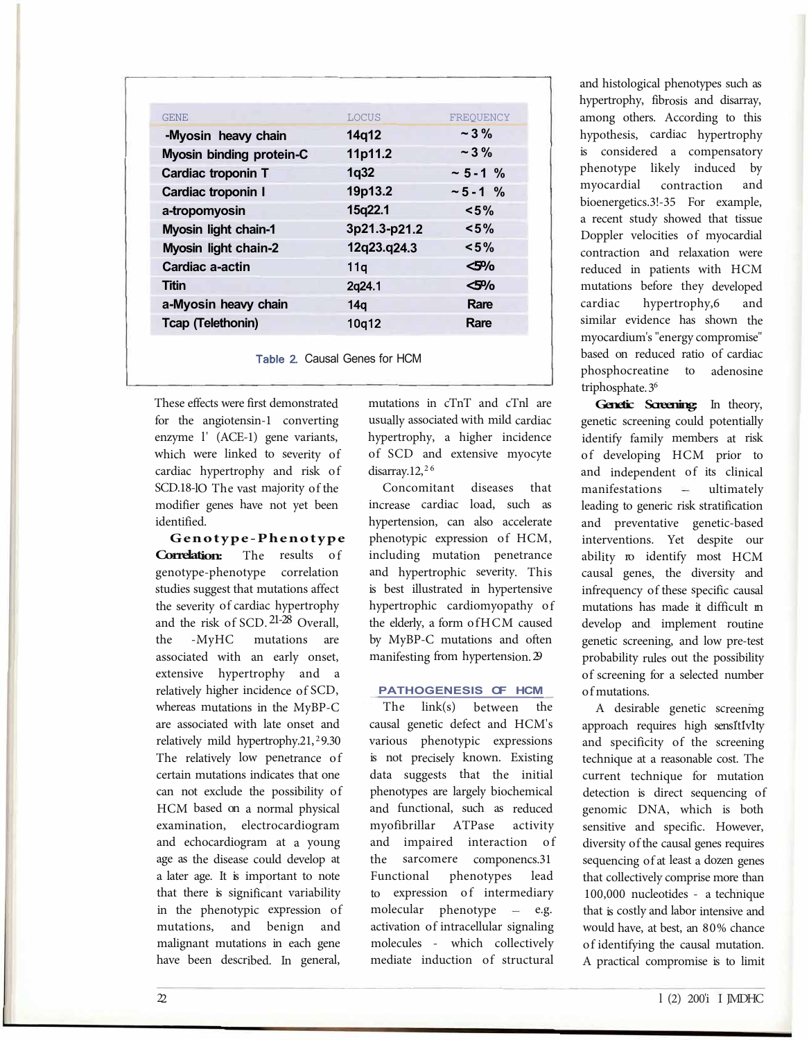| <b>GENE</b>                 | LOCUS        | FREOUENCY      |
|-----------------------------|--------------|----------------|
| -Myosin heavy chain         | 14q12        | $\sim$ 3 %     |
| Myosin binding protein-C    | 11p11.2      | $\sim$ 3 %     |
| <b>Cardiac troponin T</b>   | 1q32         | $\sim 5 - 1$ % |
| Cardiac troponin I          | 19p13.2      | ~1.96          |
| a-tropomyosin               | 15q22.1      | $< 5\%$        |
| <b>Myosin light chain-1</b> | 3p21.3-p21.2 | $< 5\%$        |
| <b>Myosin light chain-2</b> | 12q23.q24.3  | $< 5\%$        |
| Cardiac a-actin             | 11q          | <5%            |
| <b>Titin</b>                | 2q24.1       | <5%            |
| a-Myosin heavy chain        | 14q          | Rare           |
| <b>Tcap (Telethonin)</b>    | 10q12        | Rare           |
|                             |              |                |

Table 2. Causal Genes for HCM

These effects were first demonstrated for the angiotensin-1 converting enzyme l' (ACE-1) gene variants, which were linked to severity of cardiac hypertrophy and risk of SCD.18-lO The vast majority of the modifier genes have not yet been identified.

**Genotype-Phenotype Correlation:** The results of genotype-phenotype correlation studies suggest that mutations affect the severity of cardiac hypertrophy and the risk of SCD. 21-28 Overall, the -MyHC mutations are associated with an early onset, extensive hypertrophy and a relatively higher incidence of SCD, whereas mutations in the MyBP-C are associated with late onset and relatively mild hypertrophy.21, <sup>2</sup>9.30 The relatively low penetrance of certain mutations indicates that one can not exclude the possibility of HCM based on a normal physical examination, electrocardiogram and echocardiogram at a young age as the disease could develop at a later age. It is important to note that there is significant variability in the phenotypic expression of mutations, and benign and malignant mutations in each gene have been described. In general,

mutations in cTnT and cTnl are usually associated with mild cardiac hypertrophy, a higher incidence of SCD and extensive myocyte disarray.12, $26$ 

Concomitant diseases that increase cardiac load, such as hypertension, can also accelerate phenotypic expression of HCM, including mutation penetrance and hypertrophic severity. This is best illustrated in hypertensive hypertrophic cardiomyopathy of the elderly, a form ofHCM caused by MyBP-C mutations and often manifesting from hypertension. 29

# **PATHOGENESIS OF HCM**

The link(s) between the causal genetic defect and HCM's various phenotypic expressions is not precisely known. Existing data suggests that the initial phenotypes are largely biochemical and functional, such as reduced myofibrillar ATPase activity and impaired interaction of the sarcomere componencs.31 Functional phenotypes lead to expression of intermediary molecular phenotype  $-$  e.g. activation of intracellular signaling molecules - which collectively mediate induction of structural

and histological phenotypes such as hypertrophy, fibrosis and disarray, among others. According to this hypothesis, cardiac hypertrophy is considered a compensatory phenotype likely induced by myocardial contraction and bioenergetics.3!-35 For example, a recent study showed that tissue Doppler velocities of myocardial contraction and relaxation were reduced in patients with HCM mutations before they developed cardiac hypertrophy,6 and similar evidence has shown the myocardium's "energy compromise" based on reduced ratio of cardiac phosphocreatine to adenosine triphosphate. 3 6

Genetic Screening: In theory, genetic screening could potentially identify family members at risk of developing HCM prior to and independent of its clinical  $manifestations = ultrinately$ leading to generic risk stratification and preventative genetic-based interventions. Yet despite our ability ro identify most HCM causal genes, the diversity and infrequency of these specific causal mutations has made it difficult m develop and implement routine genetic screening, and low pre-test probability rules out the possibility of screening for a selected number of mutations.

A desirable genetic screenmg approach requires high sens1t1v1ty and specificity of the screening technique at a reasonable cost. The current technique for mutation detection is direct sequencing of genomic DNA, which is both sensitive and specific. However, diversity of the causal genes requires sequencing of at least a dozen genes that collectively comprise more than 100,000 nucleotides - a technique that is costly and labor intensive and would have, at best, an 80% chance of identifying the causal mutation. A practical compromise is to limit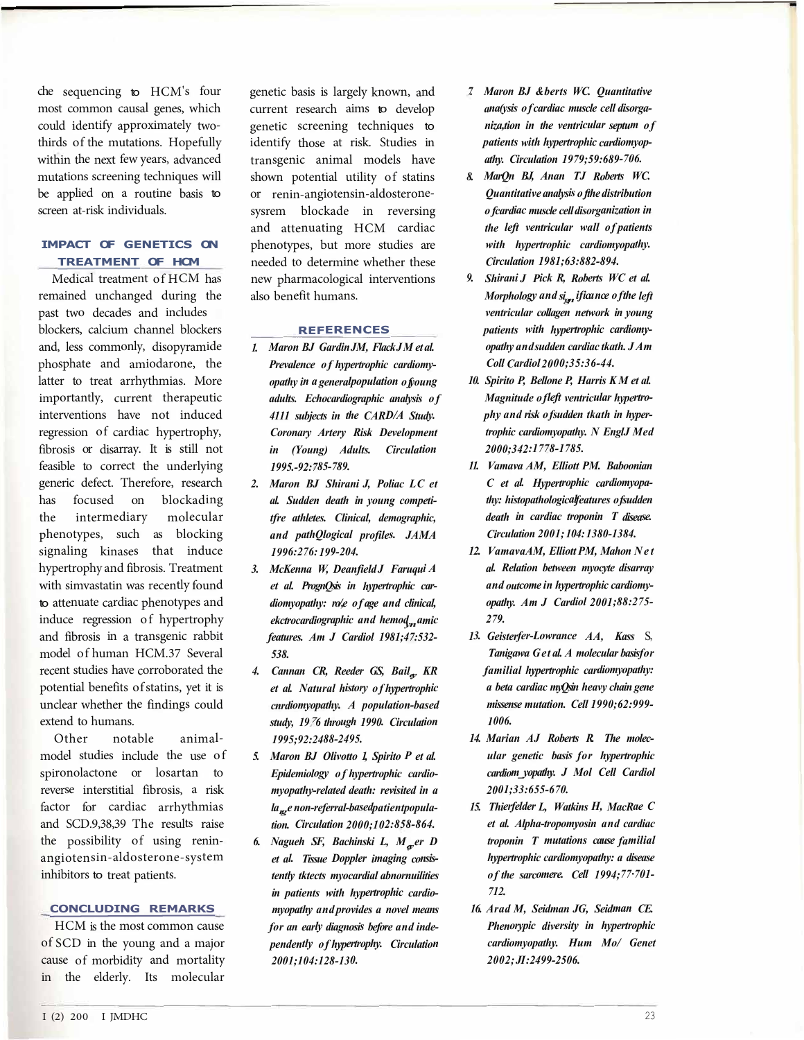che sequencing to HCM's four most common causal genes, which could identify approximately twothirds of the mutations. Hopefully within the next few years, advanced mutations screening techniques will be applied on a routine basis to screen at-risk individuals.

# **IMPACT OF GENETICS ON TREATMENT OF HCM**

Medical treatment of HCM has remained unchanged during the past two decades and includes blockers, calcium channel blockers and, less commonly, disopyramide phosphate and amiodarone, the latter to treat arrhythmias. More importantly, current therapeutic interventions have not induced regression of cardiac hypertrophy, fibrosis or disarray. It is still not feasible to correct the underlying generic defect. Therefore, research has focused on blockading the intermediary molecular phenotypes, such as blocking signaling kinases that induce hypertrophy and fibrosis. Treatment with simvastatin was recently found to attenuate cardiac phenotypes and induce regression of hypertrophy and fibrosis in a transgenic rabbit model of human HCM.37 Several recent studies have corroborated the potential benefits of statins, yet it is unclear whether the findings could extend to humans.

Other notable animalmodel studies include the use of spironolactone or losartan to reverse interstitial fibrosis, a risk factor for cardiac arrhythmias and SCD.9,38,39 The results raise the possibility of using reninangiotensin-aldosterone-system inhibitors to treat patients.

## **CONCLUDING REMARKS**

HCM is the most common cause of SCD in the young and a major cause of morbidity and mortality in the elderly. Its molecular

genetic basis is largely known, and current research aims to develop genetic screening techniques to identify those at risk. Studies in transgenic animal models have shown potential utility of statins or renin-angiotensin-aldosteronesysrem blockade in reversing and attenuating HCM cardiac phenotypes, but more studies are needed to determine whether these new pharmacological interventions also benefit humans.

### **REFERENCES**

- *1. Maron BJ Gardin JM, Flack JM et al. Prevalence of hypertrophic cardiomyopathy in a general population of young adults. Echocardiographic analysis o f 4111 subjects in the CARD/A Study. Coronary Artery Risk Development in (Young) Adults. Circulation 1995.-92:785-789.*
- *2. Maron BJ Shirani J, Poliac LC et al. Sudden death in young competitfre athletes. Clinical, demographic, and pathQlogical profiles. JAMA 1996:276: 199-204.*
- *3. McKenna W, Deanfield J Faruqui A et al. PrognQsis in hypertrophic car*diomyopathy: ro/e of age and clinical, *ekctrocardiographic and hemodynamic features. Am J Cardiol 1981;47:532- 538.*
- *4. Cannan CR, Reeder GS, Bailey KR et al. Natural history of hypertrophic cnrdiomyopathy. A population-based study, 19<sup>7</sup>6 through 1990. Circulation 1995;92:2488-2495.*
- *5. Maron BJ Olivotto 1, Spirito P et al. Epidemiology of hypertrophic cardiomyopathy-related death: revisited in a* la<sub>rg</sub>e non-referral-based patient popula*tion. Circulation 2000;102:858-864.*
- *6. Nagueh SF, Bachinski L, Meyer D et al. Tissue Doppler imaging consistently tktects myocardial abnornuilities in patients with hypertrophic cardiomyopathy and provides a novel means for an early diagnosis before and independently of hypertrophy. Circulation 2001;104:128-130.*
- *7. Maron BJ &berts WC. Quantitative ana(ysis of cardiac muscle cell disorganiza,tion in the ventricular septum of patients with hypertrophic cardiomyopathy. Circulation 1979;59:689-706.*
- *8. MarQn BJ, Anan TJ Roberts WC. Quantitative analysis of the distribution of cardiac muscle cell disorganization in the left ventricular wall of patients with hypertrophic cardiomyopathy. Circulation 1981;63:882-894.*
- *9. Shirani J Pick R, Roberts WC et al. Morphology and significance of the left ventricular collagen network in young patients with hypertrophic cardiomyopathy and sudden cardiac tkath. J Am Coll Cardiol 2000;35:36-44.*
- *10. Spirito P, Bellone P, Harris KM et al. Magnitude of left ventricular hypertrophy and risk of sudden tkath in hypertrophic cardiomyopathy. N EnglJ Med 2000;342:1778-1785.*
- *11. Vamava AM, Elliott PM. Baboonian C et al. Hypertrophic cardiomyopathy: histopathological features of sudden death in cardiac troponin T disease. Circulation 2001; 104: 1380-1384.*
- *12. VamavaAM, Elliott PM, Mahon Net al. Relation between myocyte disarray and outcome in hypertrophic cardiomyopathy. Am J Cardiol 2001;88:275- 279.*
- *13. Geisterfer-Lowrance AA, Kass* S, *Tanigawa Get al. A molecular basis for familial hypertrophic cardiomyopathy: a beta cardiac myQsin heavy chain gene missense mutation. Cell 1990;62:999- 1006.*
- *14. Marian AJ Roberts R. The molecular genetic basis for hypertrophic cardiom\_yopathy. J Mol Cell Cardiol 2001;33:655-670.*
- *15. Thierfelder L, Watkins H, MacRae C et al. Alpha-tropomyosin and cardiac troponin T mutations cause familial hypertrophic cardiomyopathy: a disease of the sarcomere. Cell 1994;77·701- 712.*
- *16. Arad M, Seidman JG, Seidman CE. Phenorypic diversity in hypertrophic cardiomyopathy. Hum Mo/ Genet 2002; JI :2499-2506.*